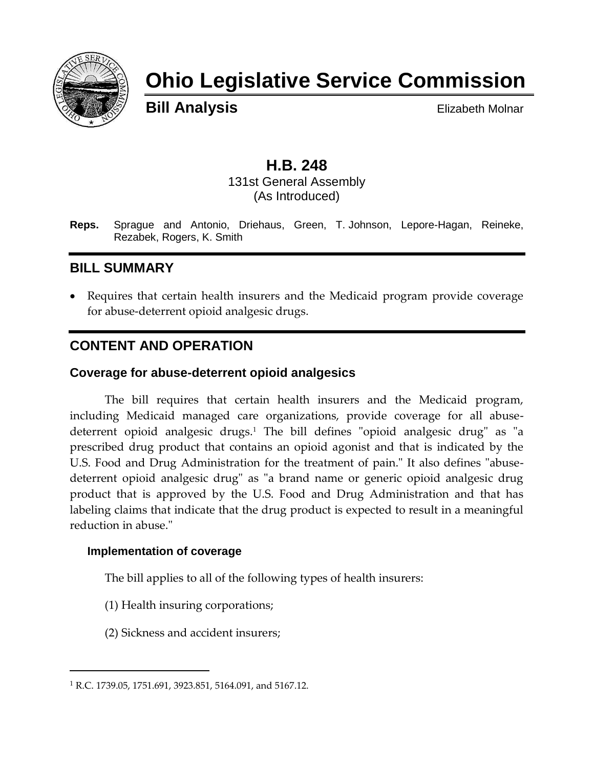

# **Ohio Legislative Service Commission**

**Bill Analysis** Elizabeth Molnar

## **H.B. 248**

131st General Assembly (As Introduced)

**Reps.** Sprague and Antonio, Driehaus, Green, T. Johnson, Lepore-Hagan, Reineke, Rezabek, Rogers, K. Smith

## **BILL SUMMARY**

 Requires that certain health insurers and the Medicaid program provide coverage for abuse-deterrent opioid analgesic drugs.

## **CONTENT AND OPERATION**

#### **Coverage for abuse-deterrent opioid analgesics**

The bill requires that certain health insurers and the Medicaid program, including Medicaid managed care organizations, provide coverage for all abusedeterrent opioid analgesic drugs.<sup>1</sup> The bill defines "opioid analgesic drug" as "a prescribed drug product that contains an opioid agonist and that is indicated by the U.S. Food and Drug Administration for the treatment of pain." It also defines "abusedeterrent opioid analgesic drug" as "a brand name or generic opioid analgesic drug product that is approved by the U.S. Food and Drug Administration and that has labeling claims that indicate that the drug product is expected to result in a meaningful reduction in abuse."

#### **Implementation of coverage**

 $\overline{a}$ 

The bill applies to all of the following types of health insurers:

- (1) Health insuring corporations;
- (2) Sickness and accident insurers;

<sup>1</sup> R.C. 1739.05, 1751.691, 3923.851, 5164.091, and 5167.12.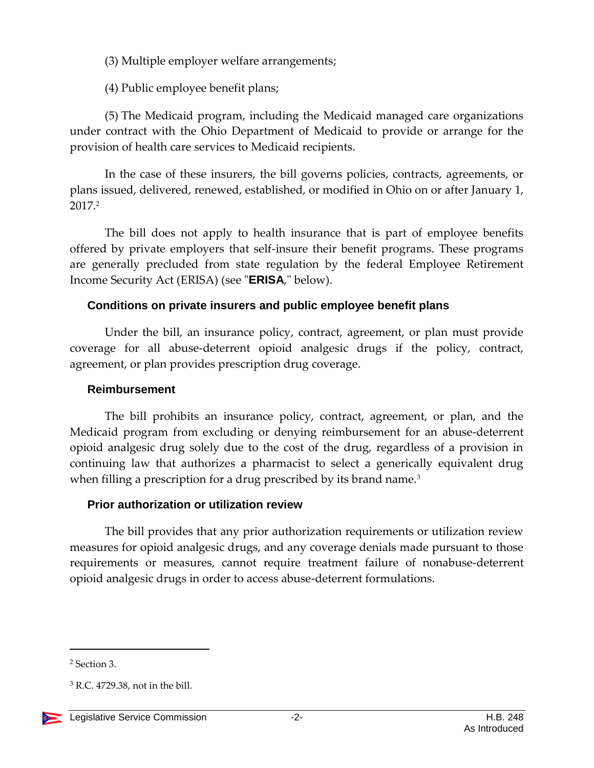(3) Multiple employer welfare arrangements;

(4) Public employee benefit plans;

(5) The Medicaid program, including the Medicaid managed care organizations under contract with the Ohio Department of Medicaid to provide or arrange for the provision of health care services to Medicaid recipients.

In the case of these insurers, the bill governs policies, contracts, agreements, or plans issued, delivered, renewed, established, or modified in Ohio on or after January 1, 2017.<sup>2</sup>

The bill does not apply to health insurance that is part of employee benefits offered by private employers that self-insure their benefit programs. These programs are generally precluded from state regulation by the federal Employee Retirement Income Security Act (ERISA) (see "**ERISA**," below).

#### **Conditions on private insurers and public employee benefit plans**

Under the bill, an insurance policy, contract, agreement, or plan must provide coverage for all abuse-deterrent opioid analgesic drugs if the policy, contract, agreement, or plan provides prescription drug coverage.

#### **Reimbursement**

The bill prohibits an insurance policy, contract, agreement, or plan, and the Medicaid program from excluding or denying reimbursement for an abuse-deterrent opioid analgesic drug solely due to the cost of the drug, regardless of a provision in continuing law that authorizes a pharmacist to select a generically equivalent drug when filling a prescription for a drug prescribed by its brand name.<sup>3</sup>

#### **Prior authorization or utilization review**

The bill provides that any prior authorization requirements or utilization review measures for opioid analgesic drugs, and any coverage denials made pursuant to those requirements or measures, cannot require treatment failure of nonabuse-deterrent opioid analgesic drugs in order to access abuse-deterrent formulations.

 $\overline{a}$ 

<sup>2</sup> Section 3.

<sup>3</sup> R.C. 4729.38, not in the bill.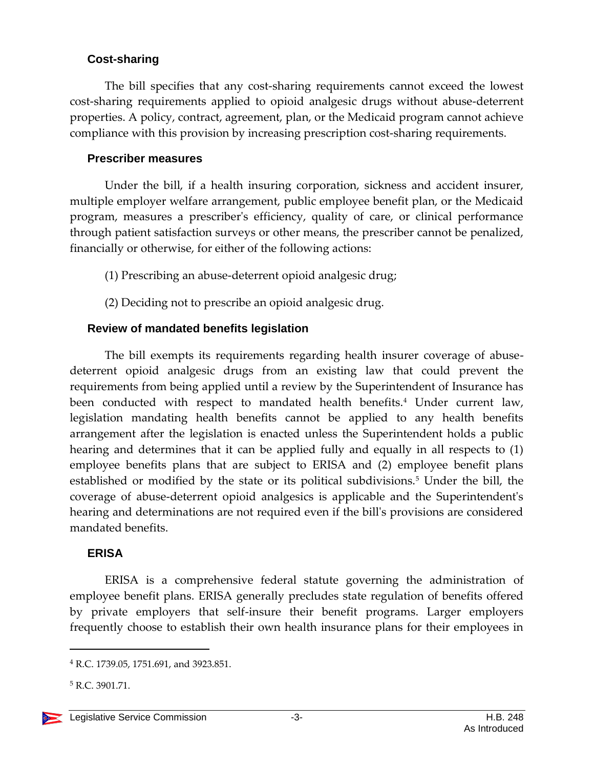#### **Cost-sharing**

The bill specifies that any cost-sharing requirements cannot exceed the lowest cost-sharing requirements applied to opioid analgesic drugs without abuse-deterrent properties. A policy, contract, agreement, plan, or the Medicaid program cannot achieve compliance with this provision by increasing prescription cost-sharing requirements.

#### **Prescriber measures**

Under the bill, if a health insuring corporation, sickness and accident insurer, multiple employer welfare arrangement, public employee benefit plan, or the Medicaid program, measures a prescriber's efficiency, quality of care, or clinical performance through patient satisfaction surveys or other means, the prescriber cannot be penalized, financially or otherwise, for either of the following actions:

(1) Prescribing an abuse-deterrent opioid analgesic drug;

(2) Deciding not to prescribe an opioid analgesic drug.

### **Review of mandated benefits legislation**

The bill exempts its requirements regarding health insurer coverage of abusedeterrent opioid analgesic drugs from an existing law that could prevent the requirements from being applied until a review by the Superintendent of Insurance has been conducted with respect to mandated health benefits.<sup>4</sup> Under current law, legislation mandating health benefits cannot be applied to any health benefits arrangement after the legislation is enacted unless the Superintendent holds a public hearing and determines that it can be applied fully and equally in all respects to (1) employee benefits plans that are subject to ERISA and (2) employee benefit plans established or modified by the state or its political subdivisions.<sup>5</sup> Under the bill, the coverage of abuse-deterrent opioid analgesics is applicable and the Superintendent's hearing and determinations are not required even if the bill's provisions are considered mandated benefits.

#### **ERISA**

ERISA is a comprehensive federal statute governing the administration of employee benefit plans. ERISA generally precludes state regulation of benefits offered by private employers that self-insure their benefit programs. Larger employers frequently choose to establish their own health insurance plans for their employees in

 $\overline{a}$ 

<sup>4</sup> R.C. 1739.05, 1751.691, and 3923.851.

<sup>5</sup> R.C. 3901.71.